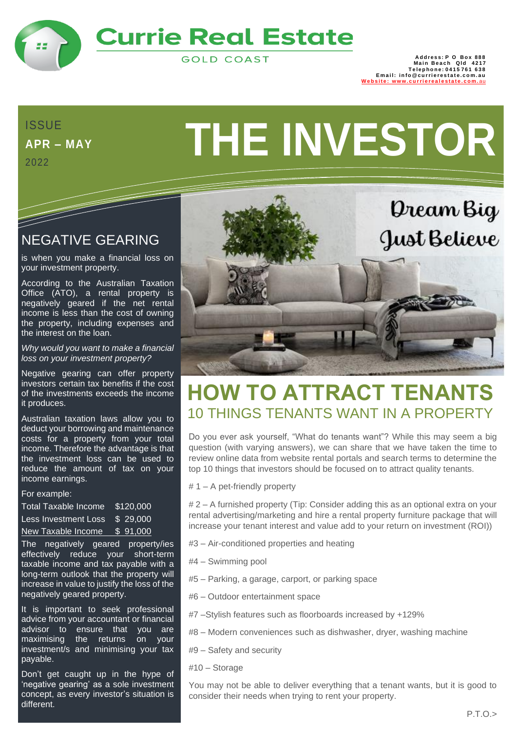

## **Currie Real Estate**

**GOLD COAST** 

888 Address: P O Box<br>1217 Main Beach Qld<br>15761 Telephone: 0415 **I Email: info@currierestate.com.au**<br> **Website:** www.currierealestate.com.au www.cu[rri](http://www.currierealestate.com.au/)erealestate

**APR – MAY** 2022

<u>Santa Contra Contra Contra Contra Contra Contra Contra Contra Contra Contra Contra Contra Contra Contra Contra Contra Contra Contra Contra Contra Contra Contra Contra Contra Contra Contra Contra Contra Contra Contra Contr</u>

# APR-MAY **THE INVESTOR**

#### NEGATIVE GEARING

is when you make a financial loss on your investment property.

According to the Australian Taxation Office (ATO), a rental property is negatively geared if the net rental income is less than the cost of owning the property, including expenses and the interest on the loan.

*Why would you want to make a financial loss on your investment property?*

Negative gearing can offer property investors certain tax benefits if the cost of the investments exceeds the income it produces.

Australian taxation laws allow you to deduct your borrowing and maintenance costs for a property from your total income. Therefore the advantage is that the investment loss can be used to reduce the amount of tax on your income earnings.

#### For example:

Total Taxable Income \$120,000 Less Investment Loss \$ 29,000 New Taxable Income \$ 91,000

The negatively geared property/ies effectively reduce your short-term taxable income and tax payable with a long-term outlook that the property will increase in value to justify the loss of the negatively geared property.

It is important to seek professional advice from your accountant or financial advisor to ensure that you are maximising the returns on your investment/s and minimising your tax payable.

Don't get caught up in the hype of 'negative gearing' as a sole investment concept, as every investor's situation is different.



## **HOW TO ATTRACT TENANTS** 10 THINGS TENANTS WANT IN A PROPERTY

Do you ever ask yourself, "What do tenants want"? While this may seem a big question (with varying answers), we can share that we have taken the time to review online data from website rental portals and search terms to determine the top 10 things that investors should be focused on to attract quality tenants.

# 1 – A pet-friendly property

# 2 – A furnished property (Tip: Consider adding this as an optional extra on your rental advertising/marketing and hire a rental property furniture package that will increase your tenant interest and value add to your return on investment (ROI))

- #3 Air-conditioned properties and heating
- #4 Swimming pool
- #5 Parking, a garage, carport, or parking space
- #6 Outdoor entertainment space
- #7 –Stylish features such as floorboards increased by +129%
- #8 Modern conveniences such as dishwasher, dryer, washing machine
- #9 Safety and security
- #10 Storage

You may not be able to deliver everything that a tenant wants, but it is good to consider their needs when trying to rent your property.